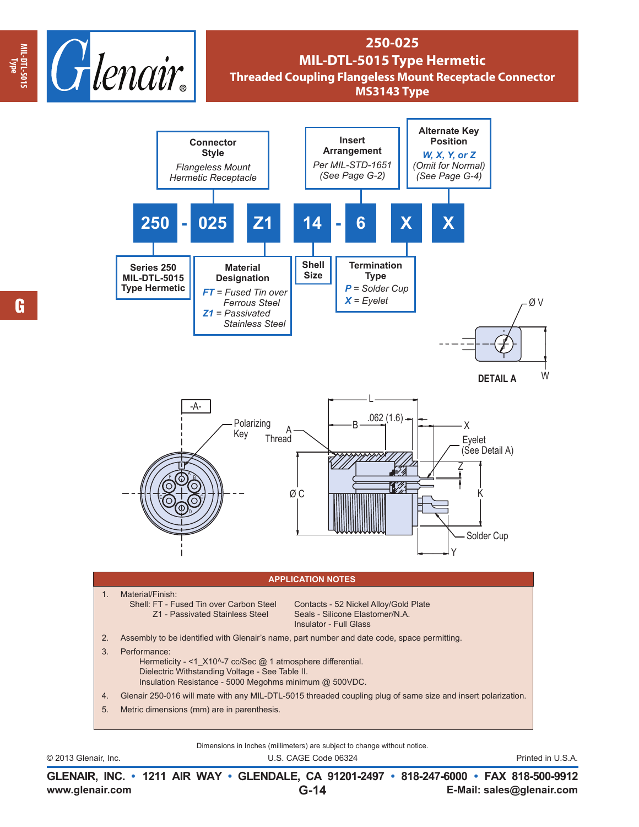

## **250-025 MIL-DTL-5015 Type Hermetic Threaded Coupling Flangeless Mount Receptacle Connector MS3143 Type**



Dimensions in Inches (millimeters) are subject to change without notice.

© 2013 Glenair, Inc. U.S. CAGE Code 06324 Printed in U.S.A.